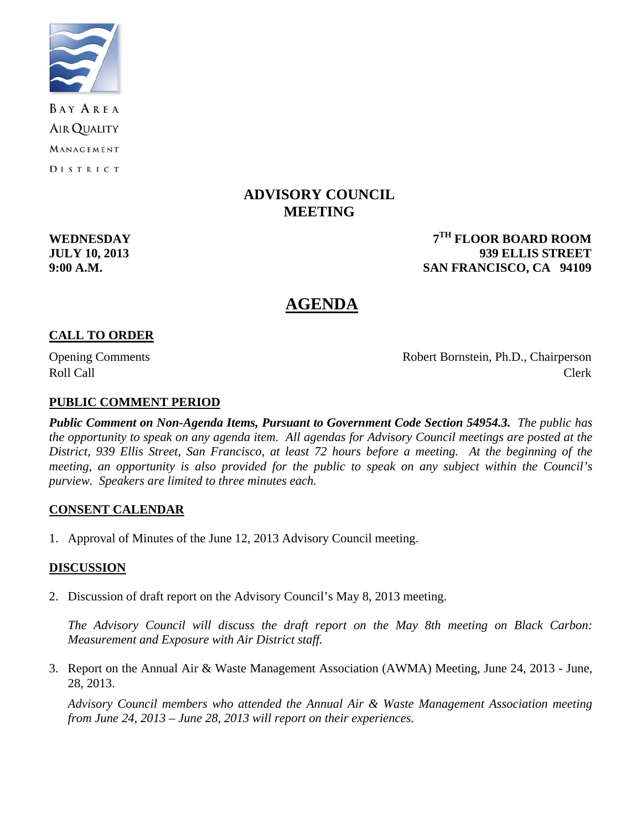

**BAY AREA AIR QUALITY** MANAGEMENT DISTRICT

# **ADVISORY COUNCIL MEETING**

**WEDNESDAY** 7<sup>TH</sup> FLOOR BOARD ROOM **JULY 10, 2013 939 ELLIS STREET 9:00 A.M. SAN FRANCISCO, CA 94109** 

# **AGENDA**

## **CALL TO ORDER**

Opening Comments Robert Bornstein, Ph.D., Chairperson Roll Call Call Contract Clerk

### **PUBLIC COMMENT PERIOD**

*Public Comment on Non-Agenda Items, Pursuant to Government Code Section 54954.3. The public has the opportunity to speak on any agenda item. All agendas for Advisory Council meetings are posted at the District, 939 Ellis Street, San Francisco, at least 72 hours before a meeting. At the beginning of the meeting, an opportunity is also provided for the public to speak on any subject within the Council's purview. Speakers are limited to three minutes each.*

#### **CONSENT CALENDAR**

1. Approval of Minutes of the June 12, 2013 Advisory Council meeting.

#### **DISCUSSION**

2. Discussion of draft report on the Advisory Council's May 8, 2013 meeting.

 *The Advisory Council will discuss the draft report on the May 8th meeting on Black Carbon: Measurement and Exposure with Air District staff.* 

3. Report on the Annual Air & Waste Management Association (AWMA) Meeting, June 24, 2013 - June, 28, 2013.

*Advisory Council members who attended the Annual Air & Waste Management Association meeting from June 24, 2013 – June 28, 2013 will report on their experiences.*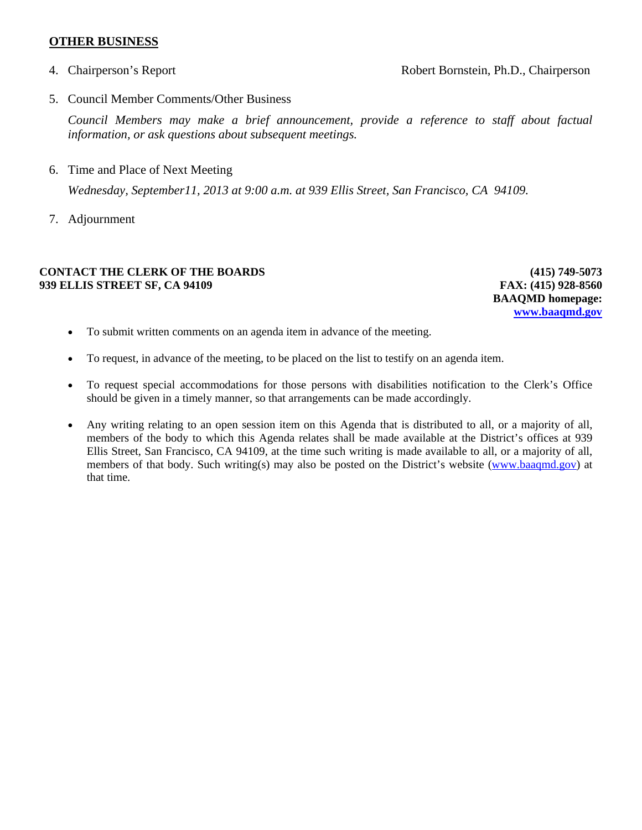#### **OTHER BUSINESS**

4. Chairperson's Report Robert Bornstein, Ph.D., Chairperson

5. Council Member Comments/Other Business

*Council Members may make a brief announcement, provide a reference to staff about factual information, or ask questions about subsequent meetings.* 

6. Time and Place of Next Meeting

 *Wednesday, September11, 2013 at 9:00 a.m. at 939 Ellis Street, San Francisco, CA 94109.* 

7. Adjournment

#### **CONTACT THE CLERK OF THE BOARDS 939 ELLIS STREET SF, CA 94109**

**(415) 749-5073 FAX: (415) 928-8560 BAAQMD homepage: www.baaqmd.gov**

- To submit written comments on an agenda item in advance of the meeting.
- To request, in advance of the meeting, to be placed on the list to testify on an agenda item.
- To request special accommodations for those persons with disabilities notification to the Clerk's Office should be given in a timely manner, so that arrangements can be made accordingly.
- Any writing relating to an open session item on this Agenda that is distributed to all, or a majority of all, members of the body to which this Agenda relates shall be made available at the District's offices at 939 Ellis Street, San Francisco, CA 94109, at the time such writing is made available to all, or a majority of all, members of that body. Such writing(s) may also be posted on the District's website (www.baaqmd.gov) at that time.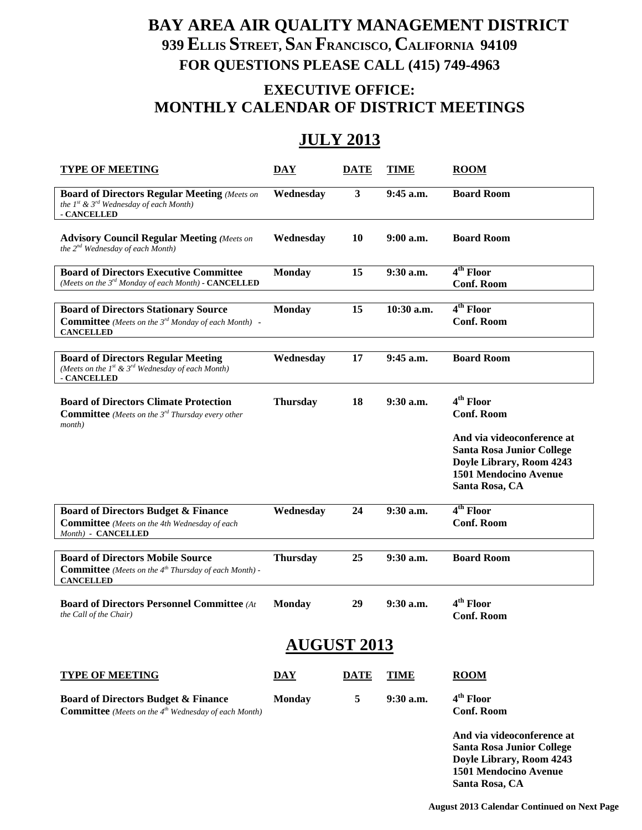# **BAY AREA AIR QUALITY MANAGEMENT DISTRICT 939 ELLIS STREET, SAN FRANCISCO, CALIFORNIA 94109 FOR QUESTIONS PLEASE CALL (415) 749-4963**

# **EXECUTIVE OFFICE: MONTHLY CALENDAR OF DISTRICT MEETINGS**

# **JULY 2013**

| <b>TYPE OF MEETING</b>                                                                                                                    | <b>DAY</b>              | <b>DATE</b> | <b>TIME</b> | <b>ROOM</b>                                                                                                                                                                         |  |
|-------------------------------------------------------------------------------------------------------------------------------------------|-------------------------|-------------|-------------|-------------------------------------------------------------------------------------------------------------------------------------------------------------------------------------|--|
| <b>Board of Directors Regular Meeting (Meets on</b><br>the $1^{st}$ & $3^{rd}$ Wednesday of each Month)<br>- CANCELLED                    | Wednesday               | 3           | 9:45 a.m.   | <b>Board Room</b>                                                                                                                                                                   |  |
| <b>Advisory Council Regular Meeting (Meets on</b><br>the 2 <sup>nd</sup> Wednesday of each Month)                                         | Wednesday               | 10          | $9:00$ a.m. | <b>Board Room</b>                                                                                                                                                                   |  |
| <b>Board of Directors Executive Committee</b><br>(Meets on the 3rd Monday of each Month) - CANCELLED                                      | <b>Monday</b>           | 15          | 9:30 a.m.   | 4 <sup>th</sup> Floor<br><b>Conf. Room</b>                                                                                                                                          |  |
| <b>Board of Directors Stationary Source</b><br><b>Committee</b> (Meets on the 3 <sup>rd</sup> Monday of each Month) -<br><b>CANCELLED</b> | <b>Monday</b>           | 15          | 10:30 a.m.  | 4 <sup>th</sup> Floor<br><b>Conf. Room</b>                                                                                                                                          |  |
| <b>Board of Directors Regular Meeting</b><br>(Meets on the $1^{st}$ & $3^{rd}$ Wednesday of each Month)<br>- CANCELLED                    | Wednesday               | 17          | 9:45 a.m.   | <b>Board Room</b>                                                                                                                                                                   |  |
| <b>Board of Directors Climate Protection</b><br><b>Committee</b> (Meets on the $3^{rd}$ Thursday every other<br>month)                    | <b>Thursday</b>         | 18          | $9:30$ a.m. | 4 <sup>th</sup> Floor<br><b>Conf. Room</b><br>And via videoconference at<br><b>Santa Rosa Junior College</b><br>Doyle Library, Room 4243<br>1501 Mendocino Avenue<br>Santa Rosa, CA |  |
| <b>Board of Directors Budget &amp; Finance</b><br><b>Committee</b> (Meets on the 4th Wednesday of each<br>Month) - CANCELLED              | Wednesday               | 24          | 9:30 a.m.   | 4 <sup>th</sup> Floor<br><b>Conf. Room</b>                                                                                                                                          |  |
| <b>Board of Directors Mobile Source</b><br><b>Committee</b> (Meets on the 4 <sup>th</sup> Thursday of each Month) -<br><b>CANCELLED</b>   | <b>Thursday</b>         | 25          | 9:30 a.m.   | <b>Board Room</b>                                                                                                                                                                   |  |
| <b>Board of Directors Personnel Committee (At</b><br>the Call of the Chair)                                                               | <b>Monday</b>           | 29          | $9:30$ a.m. | 4 <sup>th</sup> Floor<br><b>Conf. Room</b>                                                                                                                                          |  |
| <b>AUGUST 2013</b>                                                                                                                        |                         |             |             |                                                                                                                                                                                     |  |
| <b>TYPE OF MEETING</b>                                                                                                                    | $\overline{\text{DAY}}$ | <b>DATE</b> | <b>TIME</b> | <b>ROOM</b>                                                                                                                                                                         |  |
| <b>Board of Directors Budget &amp; Finance</b><br><b>Committee</b> (Meets on the 4 <sup>th</sup> Wednesday of each Month)                 | <b>Monday</b>           | 5           | 9:30 a.m.   | 4 <sup>th</sup> Floor<br><b>Conf. Room</b>                                                                                                                                          |  |

**And via videoconference at Santa Rosa Junior College Doyle Library, Room 4243 1501 Mendocino Avenue Santa Rosa, CA**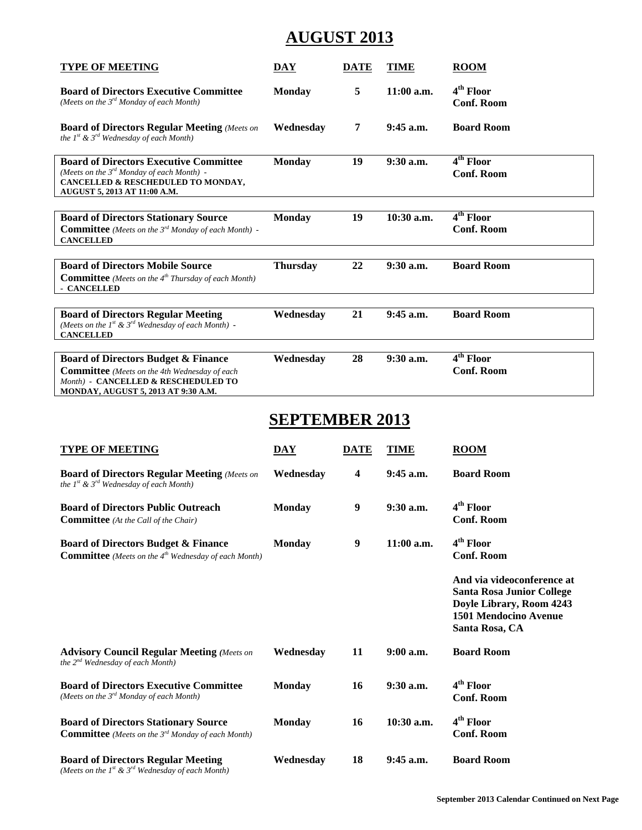# **AUGUST 2013**

| <b>TYPE OF MEETING</b>                                                                                                                                                               | <b>DAY</b>              | <b>DATE</b> | <b>TIME</b>  | <b>ROOM</b>                                                                                                                           |  |
|--------------------------------------------------------------------------------------------------------------------------------------------------------------------------------------|-------------------------|-------------|--------------|---------------------------------------------------------------------------------------------------------------------------------------|--|
| <b>Board of Directors Executive Committee</b><br>(Meets on the 3 <sup>rd</sup> Monday of each Month)                                                                                 | <b>Monday</b>           | 5           | 11:00 a.m.   | 4 <sup>th</sup> Floor<br><b>Conf. Room</b>                                                                                            |  |
| <b>Board of Directors Regular Meeting (Meets on</b><br>the $1^{st}$ & $3^{rd}$ Wednesday of each Month)                                                                              | Wednesday               | 7           | $9:45$ a.m.  | <b>Board Room</b>                                                                                                                     |  |
| <b>Board of Directors Executive Committee</b><br>(Meets on the 3rd Monday of each Month) -<br>CANCELLED & RESCHEDULED TO MONDAY,<br>AUGUST 5, 2013 AT 11:00 A.M.                     | <b>Monday</b>           | 19          | $9:30$ a.m.  | 4 <sup>th</sup> Floor<br><b>Conf. Room</b>                                                                                            |  |
| <b>Board of Directors Stationary Source</b><br><b>Committee</b> (Meets on the 3 <sup>rd</sup> Monday of each Month) -<br><b>CANCELLED</b>                                            | <b>Monday</b>           | 19          | 10:30 a.m.   | 4 <sup>th</sup> Floor<br><b>Conf. Room</b>                                                                                            |  |
| <b>Board of Directors Mobile Source</b><br><b>Committee</b> (Meets on the 4 <sup>th</sup> Thursday of each Month)<br>- CANCELLED                                                     | <b>Thursday</b>         | 22          | 9:30 a.m.    | <b>Board Room</b>                                                                                                                     |  |
| <b>Board of Directors Regular Meeting</b><br>(Meets on the $Ist$ & $3rd$ Wednesday of each Month) -<br><b>CANCELLED</b>                                                              | Wednesday               | 21          | 9:45 a.m.    | <b>Board Room</b>                                                                                                                     |  |
| <b>Board of Directors Budget &amp; Finance</b><br><b>Committee</b> (Meets on the 4th Wednesday of each<br>Month) - CANCELLED & RESCHEDULED TO<br>MONDAY, AUGUST 5, 2013 AT 9:30 A.M. | Wednesday               | 28          | 9:30 a.m.    | $\overline{4^{th}}$ Floor<br><b>Conf. Room</b>                                                                                        |  |
| <b>SEPTEMBER 2013</b>                                                                                                                                                                |                         |             |              |                                                                                                                                       |  |
| <b>TYPE OF MEETING</b>                                                                                                                                                               | $\overline{\text{DAY}}$ | <b>DATE</b> | <b>TIME</b>  | $\overline{R}$ ROOM                                                                                                                   |  |
| <b>Board of Directors Regular Meeting (Meets on</b>                                                                                                                                  |                         |             |              |                                                                                                                                       |  |
| the $1^{st}$ & $3^{rd}$ Wednesday of each Month)                                                                                                                                     | Wednesday               | 4           | $9:45$ a.m.  | <b>Board Room</b>                                                                                                                     |  |
| <b>Board of Directors Public Outreach</b><br><b>Committee</b> (At the Call of the Chair)                                                                                             | <b>Monday</b>           | 9           | 9:30 a.m.    | 4 <sup>th</sup> Floor<br><b>Conf. Room</b>                                                                                            |  |
| <b>Board of Directors Budget &amp; Finance</b><br><b>Committee</b> (Meets on the 4 <sup>th</sup> Wednesday of each Month)                                                            | <b>Monday</b>           | 9           | $11:00$ a.m. | 4 <sup>th</sup> Floor<br><b>Conf. Room</b>                                                                                            |  |
|                                                                                                                                                                                      |                         |             |              | And via videoconference at<br><b>Santa Rosa Junior College</b><br>Doyle Library, Room 4243<br>1501 Mendocino Avenue<br>Santa Rosa, CA |  |
| <b>Advisory Council Regular Meeting (Meets on</b><br>the $2^{nd}$ Wednesday of each Month)                                                                                           | Wednesday               | 11          | $9:00$ a.m.  | <b>Board Room</b>                                                                                                                     |  |

*<sup>(</sup>Meets on the 1st & 3rd Wednesday of each Month)*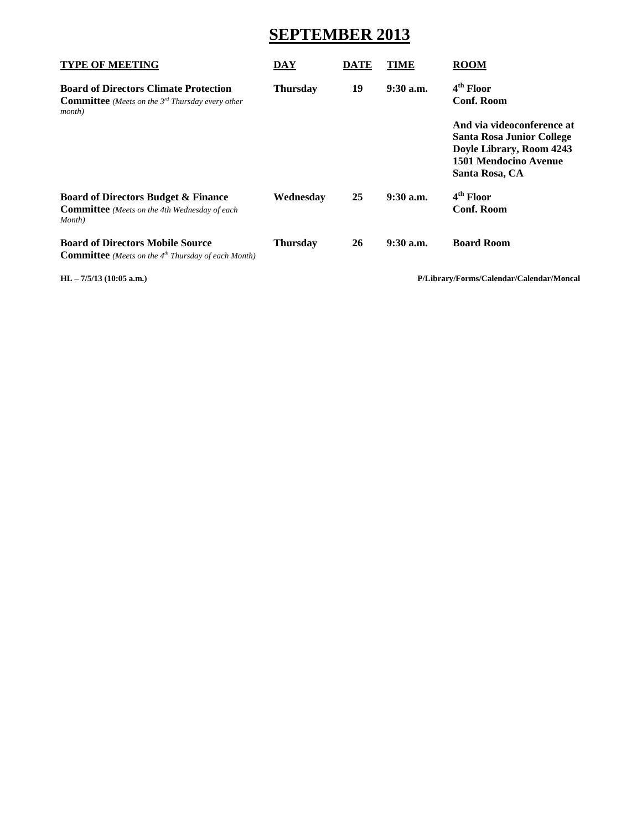# **SEPTEMBER 2013**

| <b>TYPE OF MEETING</b>                                                                                                         | <b>DAY</b>      | DATE | TIME        | <b>ROOM</b>                                                                                                                    |
|--------------------------------------------------------------------------------------------------------------------------------|-----------------|------|-------------|--------------------------------------------------------------------------------------------------------------------------------|
| <b>Board of Directors Climate Protection</b><br><b>Committee</b> (Meets on the $3^{rd}$ Thursday every other<br><i>month</i> ) | <b>Thursday</b> | 19   | $9:30$ a.m. | 4 <sup>th</sup> Floor<br>Conf. Room                                                                                            |
|                                                                                                                                |                 |      |             | And via videoconference at<br>Santa Rosa Junior College<br>Doyle Library, Room 4243<br>1501 Mendocino Avenue<br>Santa Rosa, CA |
| <b>Board of Directors Budget &amp; Finance</b><br><b>Committee</b> (Meets on the 4th Wednesday of each<br>Month)               | Wednesday       | 25   | $9:30$ a.m. | 4 <sup>th</sup> Floor<br><b>Conf. Room</b>                                                                                     |
| <b>Board of Directors Mobile Source</b><br><b>Committee</b> (Meets on the $4th$ Thursday of each Month)                        | <b>Thursday</b> | 26   | $9:30$ a.m. | <b>Board Room</b>                                                                                                              |

**HL – 7/5/13 (10:05 a.m.) P/Library/Forms/Calendar/Calendar/Moncal**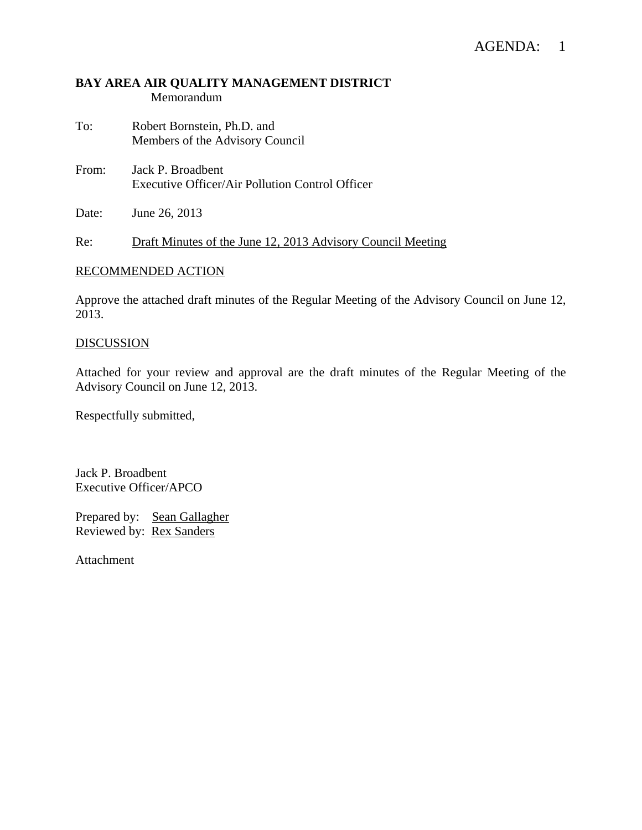#### **BAY AREA AIR QUALITY MANAGEMENT DISTRICT**  Memorandum

- To: Robert Bornstein, Ph.D. and Members of the Advisory Council
- From: Jack P. Broadbent Executive Officer/Air Pollution Control Officer
- Date: June 26, 2013

Re: Draft Minutes of the June 12, 2013 Advisory Council Meeting

#### RECOMMENDED ACTION

Approve the attached draft minutes of the Regular Meeting of the Advisory Council on June 12, 2013.

# **DISCUSSION**

Attached for your review and approval are the draft minutes of the Regular Meeting of the Advisory Council on June 12, 2013.

Respectfully submitted,

Jack P. Broadbent Executive Officer/APCO

Prepared by: Sean Gallagher Reviewed by: Rex Sanders

Attachment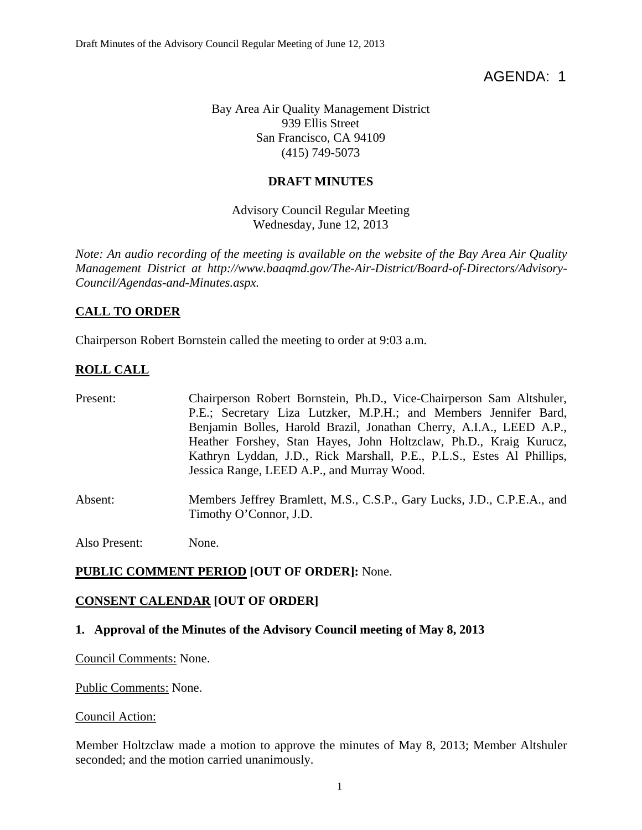AGENDA: 1

Bay Area Air Quality Management District 939 Ellis Street San Francisco, CA 94109 (415) 749-5073

### **DRAFT MINUTES**

Advisory Council Regular Meeting Wednesday, June 12, 2013

*Note: An audio recording of the meeting is available on the website of the Bay Area Air Quality Management District at http://www.baaqmd.gov/The-Air-District/Board-of-Directors/Advisory-Council/Agendas-and-Minutes.aspx.* 

### **CALL TO ORDER**

Chairperson Robert Bornstein called the meeting to order at 9:03 a.m.

# **ROLL CALL**

| Present: | Chairperson Robert Bornstein, Ph.D., Vice-Chairperson Sam Altshuler,<br>P.E.; Secretary Liza Lutzker, M.P.H.; and Members Jennifer Bard,<br>Benjamin Bolles, Harold Brazil, Jonathan Cherry, A.I.A., LEED A.P.,<br>Heather Forshey, Stan Hayes, John Holtzclaw, Ph.D., Kraig Kurucz,<br>Kathryn Lyddan, J.D., Rick Marshall, P.E., P.L.S., Estes Al Phillips,<br>Jessica Range, LEED A.P., and Murray Wood. |
|----------|-------------------------------------------------------------------------------------------------------------------------------------------------------------------------------------------------------------------------------------------------------------------------------------------------------------------------------------------------------------------------------------------------------------|
| Absent:  | Members Jeffrey Bramlett, M.S., C.S.P., Gary Lucks, J.D., C.P.E.A., and<br>Timothy O'Connor, J.D.                                                                                                                                                                                                                                                                                                           |

Also Present: None.

#### **PUBLIC COMMENT PERIOD [OUT OF ORDER]:** None.

#### **CONSENT CALENDAR [OUT OF ORDER]**

#### **1. Approval of the Minutes of the Advisory Council meeting of May 8, 2013**

Council Comments: None.

Public Comments: None.

Council Action:

Member Holtzclaw made a motion to approve the minutes of May 8, 2013; Member Altshuler seconded; and the motion carried unanimously.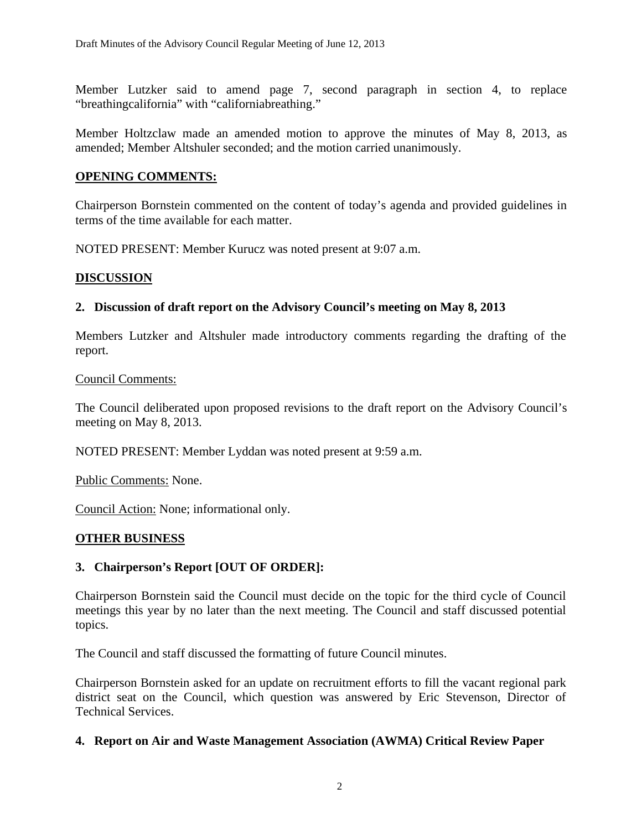Member Lutzker said to amend page 7, second paragraph in section 4, to replace "breathingcalifornia" with "californiabreathing."

Member Holtzclaw made an amended motion to approve the minutes of May 8, 2013, as amended; Member Altshuler seconded; and the motion carried unanimously.

#### **OPENING COMMENTS:**

Chairperson Bornstein commented on the content of today's agenda and provided guidelines in terms of the time available for each matter.

NOTED PRESENT: Member Kurucz was noted present at 9:07 a.m.

#### **DISCUSSION**

### **2. Discussion of draft report on the Advisory Council's meeting on May 8, 2013**

Members Lutzker and Altshuler made introductory comments regarding the drafting of the report.

#### Council Comments:

The Council deliberated upon proposed revisions to the draft report on the Advisory Council's meeting on May 8, 2013.

NOTED PRESENT: Member Lyddan was noted present at 9:59 a.m.

Public Comments: None.

Council Action: None; informational only.

#### **OTHER BUSINESS**

#### **3. Chairperson's Report [OUT OF ORDER]:**

Chairperson Bornstein said the Council must decide on the topic for the third cycle of Council meetings this year by no later than the next meeting. The Council and staff discussed potential topics.

The Council and staff discussed the formatting of future Council minutes.

Chairperson Bornstein asked for an update on recruitment efforts to fill the vacant regional park district seat on the Council, which question was answered by Eric Stevenson, Director of Technical Services.

#### **4. Report on Air and Waste Management Association (AWMA) Critical Review Paper**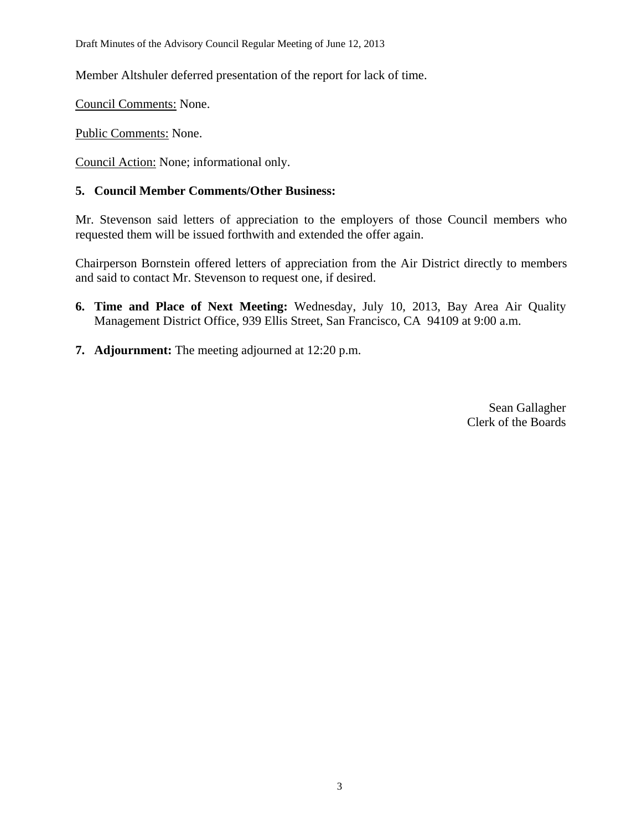Draft Minutes of the Advisory Council Regular Meeting of June 12, 2013

Member Altshuler deferred presentation of the report for lack of time.

Council Comments: None.

Public Comments: None.

Council Action: None; informational only.

### **5. Council Member Comments/Other Business:**

Mr. Stevenson said letters of appreciation to the employers of those Council members who requested them will be issued forthwith and extended the offer again.

Chairperson Bornstein offered letters of appreciation from the Air District directly to members and said to contact Mr. Stevenson to request one, if desired.

- **6. Time and Place of Next Meeting:** Wednesday, July 10, 2013, Bay Area Air Quality Management District Office, 939 Ellis Street, San Francisco, CA 94109 at 9:00 a.m.
- **7. Adjournment:** The meeting adjourned at 12:20 p.m.

Sean Gallagher Clerk of the Boards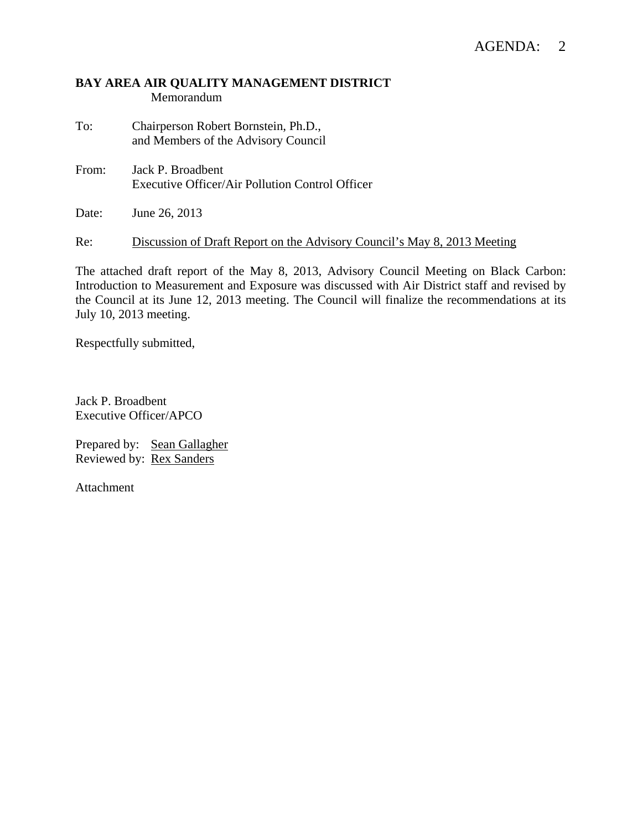#### **BAY AREA AIR QUALITY MANAGEMENT DISTRICT**  Memorandum

- To: Chairperson Robert Bornstein, Ph.D., and Members of the Advisory Council
- From: Jack P. Broadbent Executive Officer/Air Pollution Control Officer

Date: June 26, 2013

Re: Discussion of Draft Report on the Advisory Council's May 8, 2013 Meeting

The attached draft report of the May 8, 2013, Advisory Council Meeting on Black Carbon: Introduction to Measurement and Exposure was discussed with Air District staff and revised by the Council at its June 12, 2013 meeting. The Council will finalize the recommendations at its July 10, 2013 meeting.

Respectfully submitted,

Jack P. Broadbent Executive Officer/APCO

Prepared by: Sean Gallagher Reviewed by: Rex Sanders

Attachment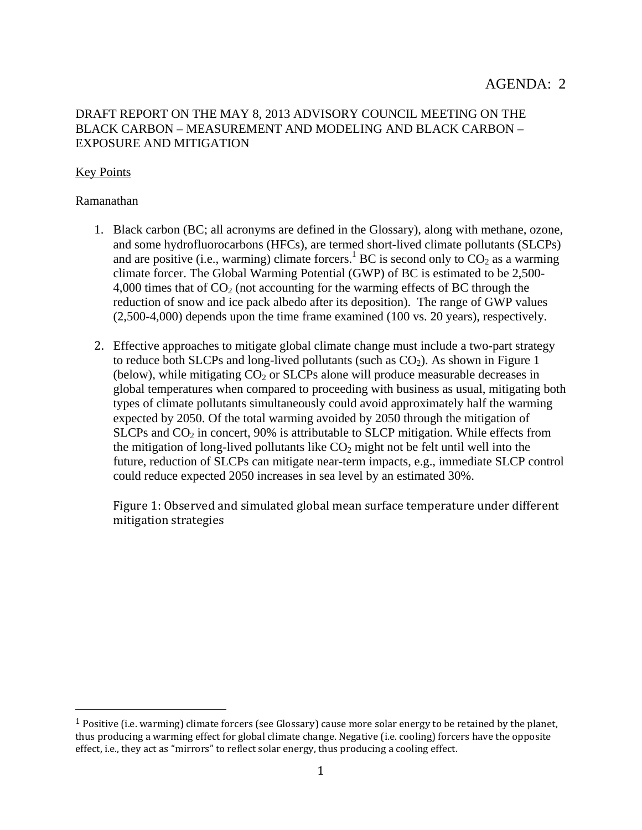### DRAFT REPORT ON THE MAY 8, 2013 ADVISORY COUNCIL MEETING ON THE BLACK CARBON – MEASUREMENT AND MODELING AND BLACK CARBON – EXPOSURE AND MITIGATION

### Key Points

#### Ramanathan

 

- 1. Black carbon (BC; all acronyms are defined in the Glossary), along with methane, ozone, and some hydrofluorocarbons (HFCs), are termed short-lived climate pollutants (SLCPs) and are positive (i.e., warming) climate forcers.<sup>1</sup> BC is second only to  $CO_2$  as a warming climate forcer. The Global Warming Potential (GWP) of BC is estimated to be 2,500- 4,000 times that of  $CO<sub>2</sub>$  (not accounting for the warming effects of BC through the reduction of snow and ice pack albedo after its deposition). The range of GWP values (2,500-4,000) depends upon the time frame examined (100 vs. 20 years), respectively.
- 2. Effective approaches to mitigate global climate change must include a two-part strategy to reduce both SLCPs and long-lived pollutants (such as  $CO<sub>2</sub>$ ). As shown in Figure 1 (below), while mitigating  $CO<sub>2</sub>$  or SLCPs alone will produce measurable decreases in global temperatures when compared to proceeding with business as usual, mitigating both types of climate pollutants simultaneously could avoid approximately half the warming expected by 2050. Of the total warming avoided by 2050 through the mitigation of SLCPs and  $CO<sub>2</sub>$  in concert, 90% is attributable to SLCP mitigation. While effects from the mitigation of long-lived pollutants like  $CO<sub>2</sub>$  might not be felt until well into the future, reduction of SLCPs can mitigate near-term impacts, e.g., immediate SLCP control could reduce expected 2050 increases in sea level by an estimated 30%.

Figure 1: Observed and simulated global mean surface temperature under different mitigation strategies 

<sup>&</sup>lt;sup>1</sup> Positive (i.e. warming) climate forcers (see Glossary) cause more solar energy to be retained by the planet, thus producing a warming effect for global climate change. Negative (i.e. cooling) forcers have the opposite effect, i.e., they act as "mirrors" to reflect solar energy, thus producing a cooling effect.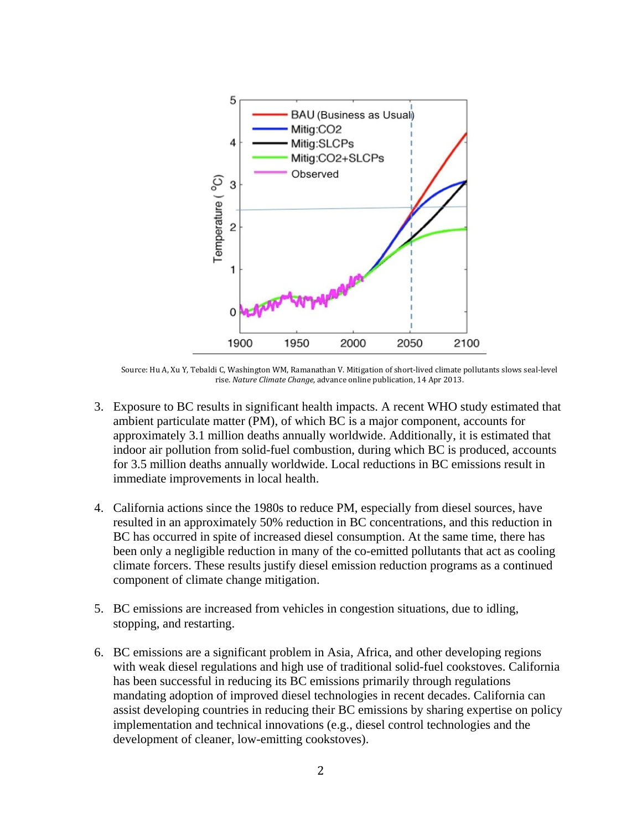

Source: Hu A, Xu Y, Tebaldi C, Washington WM, Ramanathan V. Mitigation of short-lived climate pollutants slows seal-level rise. *Nature Climate Change*, advance online publication, 14 Apr 2013.

- 3. Exposure to BC results in significant health impacts. A recent WHO study estimated that ambient particulate matter (PM), of which BC is a major component, accounts for approximately 3.1 million deaths annually worldwide. Additionally, it is estimated that indoor air pollution from solid-fuel combustion, during which BC is produced, accounts for 3.5 million deaths annually worldwide. Local reductions in BC emissions result in immediate improvements in local health.
- 4. California actions since the 1980s to reduce PM, especially from diesel sources, have resulted in an approximately 50% reduction in BC concentrations, and this reduction in BC has occurred in spite of increased diesel consumption. At the same time, there has been only a negligible reduction in many of the co-emitted pollutants that act as cooling climate forcers. These results justify diesel emission reduction programs as a continued component of climate change mitigation.
- 5. BC emissions are increased from vehicles in congestion situations, due to idling, stopping, and restarting.
- 6. BC emissions are a significant problem in Asia, Africa, and other developing regions with weak diesel regulations and high use of traditional solid-fuel cookstoves. California has been successful in reducing its BC emissions primarily through regulations mandating adoption of improved diesel technologies in recent decades. California can assist developing countries in reducing their BC emissions by sharing expertise on policy implementation and technical innovations (e.g., diesel control technologies and the development of cleaner, low-emitting cookstoves).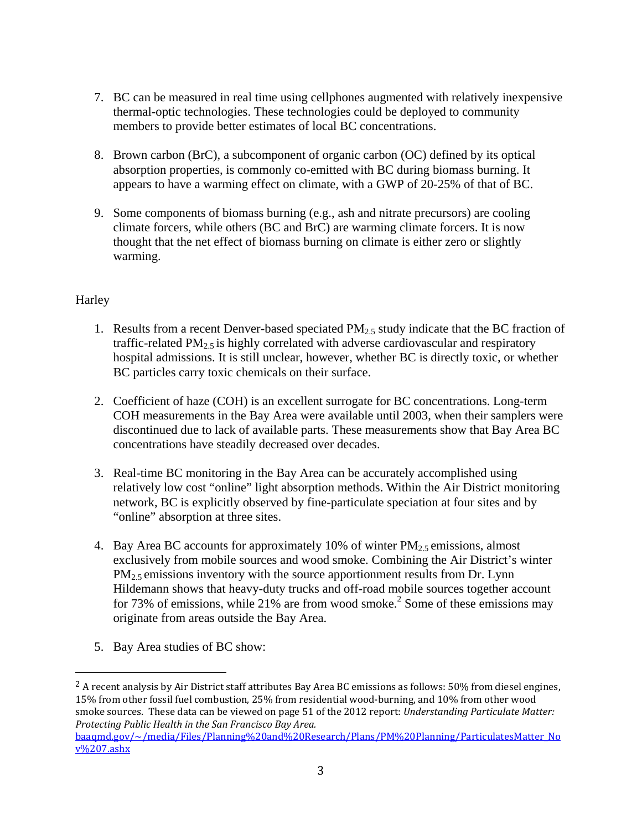- 7. BC can be measured in real time using cellphones augmented with relatively inexpensive thermal-optic technologies. These technologies could be deployed to community members to provide better estimates of local BC concentrations.
- 8. Brown carbon (BrC), a subcomponent of organic carbon (OC) defined by its optical absorption properties, is commonly co-emitted with BC during biomass burning. It appears to have a warming effect on climate, with a GWP of 20-25% of that of BC.
- 9. Some components of biomass burning (e.g., ash and nitrate precursors) are cooling climate forcers, while others (BC and BrC) are warming climate forcers. It is now thought that the net effect of biomass burning on climate is either zero or slightly warming.

## Harley

- 1. Results from a recent Denver-based speciated  $PM_{2.5}$  study indicate that the BC fraction of traffic-related  $PM_{2.5}$  is highly correlated with adverse cardiovascular and respiratory hospital admissions. It is still unclear, however, whether BC is directly toxic, or whether BC particles carry toxic chemicals on their surface.
- 2. Coefficient of haze (COH) is an excellent surrogate for BC concentrations. Long-term COH measurements in the Bay Area were available until 2003, when their samplers were discontinued due to lack of available parts. These measurements show that Bay Area BC concentrations have steadily decreased over decades.
- 3. Real-time BC monitoring in the Bay Area can be accurately accomplished using relatively low cost "online" light absorption methods. Within the Air District monitoring network, BC is explicitly observed by fine-particulate speciation at four sites and by "online" absorption at three sites.
- 4. Bay Area BC accounts for approximately 10% of winter  $PM_{2.5}$  emissions, almost exclusively from mobile sources and wood smoke. Combining the Air District's winter  $PM<sub>2.5</sub>$  emissions inventory with the source apportionment results from Dr. Lynn Hildemann shows that heavy-duty trucks and off-road mobile sources together account for 73% of emissions, while 21% are from wood smoke.<sup>2</sup> Some of these emissions may originate from areas outside the Bay Area.
- 5. Bay Area studies of BC show:

 

<sup>2</sup> A recent analysis by Air District staff attributes Bay Area BC emissions as follows: 50% from diesel engines, 15% from other fossil fuel combustion, 25% from residential wood-burning, and 10% from other wood smoke sources. These data can be viewed on page 51 of the 2012 report: *Understanding Particulate Matter: Protecting Public Health in the San Francisco Bay Area.* baaqmd.gov/~/media/Files/Planning%20and%20Research/Plans/PM%20Planning/ParticulatesMatter\_No v%207.ashx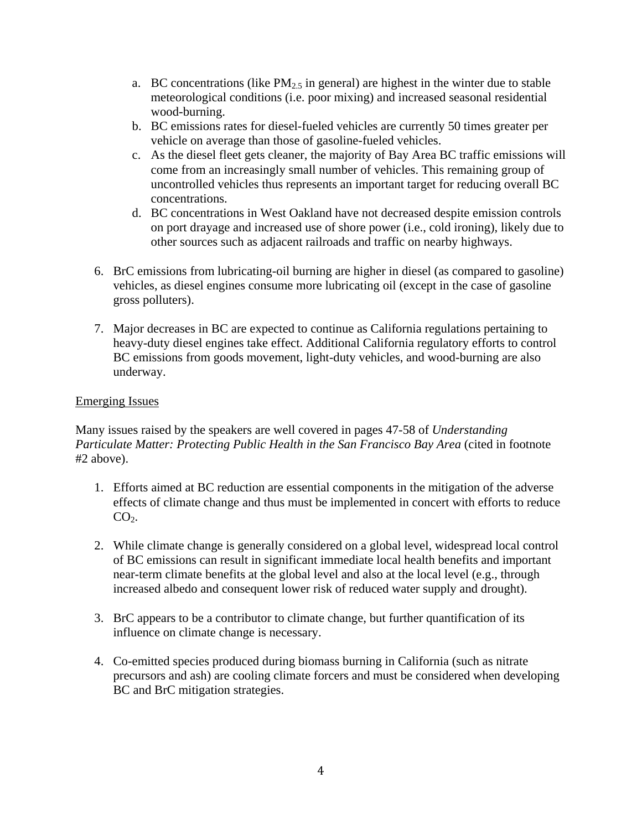- a. BC concentrations (like  $PM<sub>2.5</sub>$  in general) are highest in the winter due to stable meteorological conditions (i.e. poor mixing) and increased seasonal residential wood-burning.
- b. BC emissions rates for diesel-fueled vehicles are currently 50 times greater per vehicle on average than those of gasoline-fueled vehicles.
- c. As the diesel fleet gets cleaner, the majority of Bay Area BC traffic emissions will come from an increasingly small number of vehicles. This remaining group of uncontrolled vehicles thus represents an important target for reducing overall BC concentrations.
- d. BC concentrations in West Oakland have not decreased despite emission controls on port drayage and increased use of shore power (i.e., cold ironing), likely due to other sources such as adjacent railroads and traffic on nearby highways.
- 6. BrC emissions from lubricating-oil burning are higher in diesel (as compared to gasoline) vehicles, as diesel engines consume more lubricating oil (except in the case of gasoline gross polluters).
- 7. Major decreases in BC are expected to continue as California regulations pertaining to heavy-duty diesel engines take effect. Additional California regulatory efforts to control BC emissions from goods movement, light-duty vehicles, and wood-burning are also underway.

## Emerging Issues

Many issues raised by the speakers are well covered in pages 47-58 of *Understanding Particulate Matter: Protecting Public Health in the San Francisco Bay Area* (cited in footnote #2 above).

- 1. Efforts aimed at BC reduction are essential components in the mitigation of the adverse effects of climate change and thus must be implemented in concert with efforts to reduce  $CO<sub>2</sub>$ .
- 2. While climate change is generally considered on a global level, widespread local control of BC emissions can result in significant immediate local health benefits and important near-term climate benefits at the global level and also at the local level (e.g., through increased albedo and consequent lower risk of reduced water supply and drought).
- 3. BrC appears to be a contributor to climate change, but further quantification of its influence on climate change is necessary.
- 4. Co-emitted species produced during biomass burning in California (such as nitrate precursors and ash) are cooling climate forcers and must be considered when developing BC and BrC mitigation strategies.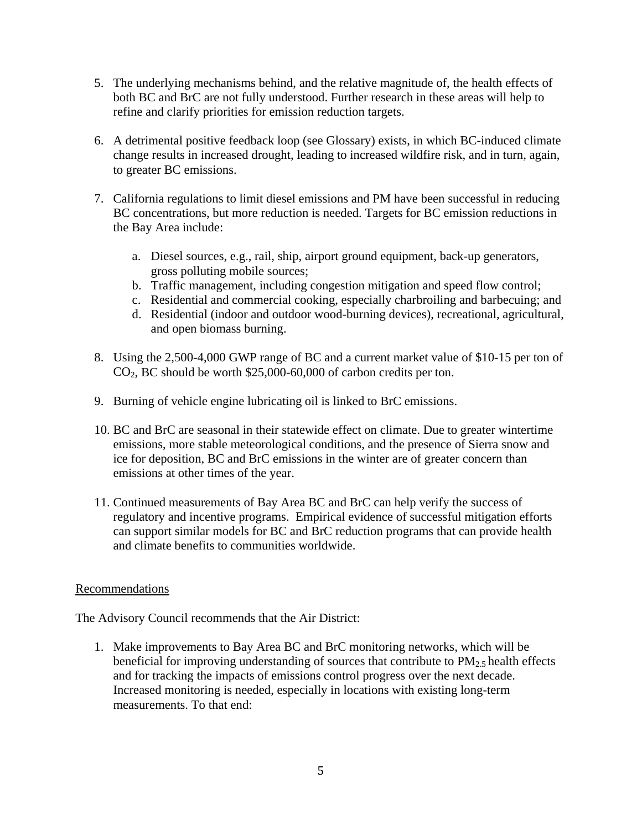- 5. The underlying mechanisms behind, and the relative magnitude of, the health effects of both BC and BrC are not fully understood. Further research in these areas will help to refine and clarify priorities for emission reduction targets.
- 6. A detrimental positive feedback loop (see Glossary) exists, in which BC-induced climate change results in increased drought, leading to increased wildfire risk, and in turn, again, to greater BC emissions.
- 7. California regulations to limit diesel emissions and PM have been successful in reducing BC concentrations, but more reduction is needed. Targets for BC emission reductions in the Bay Area include:
	- a. Diesel sources, e.g., rail, ship, airport ground equipment, back-up generators, gross polluting mobile sources;
	- b. Traffic management, including congestion mitigation and speed flow control;
	- c. Residential and commercial cooking, especially charbroiling and barbecuing; and
	- d. Residential (indoor and outdoor wood-burning devices), recreational, agricultural, and open biomass burning.
- 8. Using the 2,500-4,000 GWP range of BC and a current market value of \$10-15 per ton of  $CO<sub>2</sub>$ , BC should be worth \$25,000-60,000 of carbon credits per ton.
- 9. Burning of vehicle engine lubricating oil is linked to BrC emissions.
- 10. BC and BrC are seasonal in their statewide effect on climate. Due to greater wintertime emissions, more stable meteorological conditions, and the presence of Sierra snow and ice for deposition, BC and BrC emissions in the winter are of greater concern than emissions at other times of the year.
- 11. Continued measurements of Bay Area BC and BrC can help verify the success of regulatory and incentive programs. Empirical evidence of successful mitigation efforts can support similar models for BC and BrC reduction programs that can provide health and climate benefits to communities worldwide.

#### Recommendations

The Advisory Council recommends that the Air District:

1. Make improvements to Bay Area BC and BrC monitoring networks, which will be beneficial for improving understanding of sources that contribute to  $PM_{2.5}$  health effects and for tracking the impacts of emissions control progress over the next decade. Increased monitoring is needed, especially in locations with existing long-term measurements. To that end: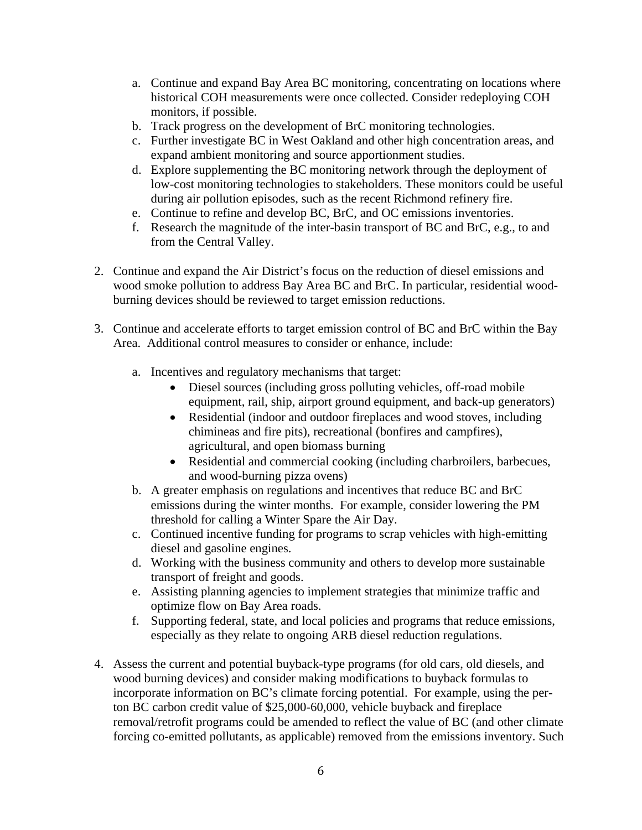- a. Continue and expand Bay Area BC monitoring, concentrating on locations where historical COH measurements were once collected. Consider redeploying COH monitors, if possible.
- b. Track progress on the development of BrC monitoring technologies.
- c. Further investigate BC in West Oakland and other high concentration areas, and expand ambient monitoring and source apportionment studies.
- d. Explore supplementing the BC monitoring network through the deployment of low-cost monitoring technologies to stakeholders. These monitors could be useful during air pollution episodes, such as the recent Richmond refinery fire.
- e. Continue to refine and develop BC, BrC, and OC emissions inventories.
- f. Research the magnitude of the inter-basin transport of BC and BrC, e.g., to and from the Central Valley.
- 2. Continue and expand the Air District's focus on the reduction of diesel emissions and wood smoke pollution to address Bay Area BC and BrC. In particular, residential woodburning devices should be reviewed to target emission reductions.
- 3. Continue and accelerate efforts to target emission control of BC and BrC within the Bay Area. Additional control measures to consider or enhance, include:
	- a. Incentives and regulatory mechanisms that target:
		- Diesel sources (including gross polluting vehicles, off-road mobile equipment, rail, ship, airport ground equipment, and back-up generators)
		- Residential (indoor and outdoor fireplaces and wood stoves, including chimineas and fire pits), recreational (bonfires and campfires), agricultural, and open biomass burning
		- Residential and commercial cooking (including charbroilers, barbecues, and wood-burning pizza ovens)
	- b. A greater emphasis on regulations and incentives that reduce BC and BrC emissions during the winter months. For example, consider lowering the PM threshold for calling a Winter Spare the Air Day.
	- c. Continued incentive funding for programs to scrap vehicles with high-emitting diesel and gasoline engines.
	- d. Working with the business community and others to develop more sustainable transport of freight and goods.
	- e. Assisting planning agencies to implement strategies that minimize traffic and optimize flow on Bay Area roads.
	- f. Supporting federal, state, and local policies and programs that reduce emissions, especially as they relate to ongoing ARB diesel reduction regulations.
- 4. Assess the current and potential buyback-type programs (for old cars, old diesels, and wood burning devices) and consider making modifications to buyback formulas to incorporate information on BC's climate forcing potential. For example, using the perton BC carbon credit value of \$25,000-60,000, vehicle buyback and fireplace removal/retrofit programs could be amended to reflect the value of BC (and other climate forcing co-emitted pollutants, as applicable) removed from the emissions inventory. Such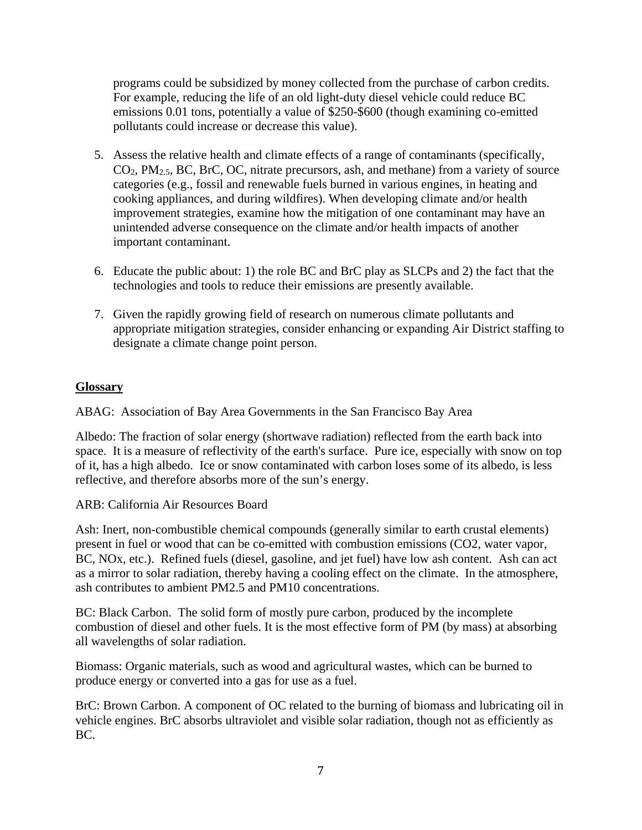programs could be subsidized by money collected from the purchase of carbon credits. For example, reducing the life of an old light-duty diesel vehicle could reduce BC emissions 0.01 tons, potentially a value of \$250-\$600 (though examining co-emitted pollutants could increase or decrease this value).

- 5. Assess the relative health and climate effects of a range of contaminants (specifically,  $CO<sub>2</sub>$ ,  $PM<sub>2.5</sub>$ , BC, BrC, OC, nitrate precursors, ash, and methane) from a variety of source categories (e.g., fossil and renewable fuels burned in various engines, in heating and cooking appliances, and during wildfires). When developing climate and/or health improvement strategies, examine how the mitigation of one contaminant may have an unintended adverse consequence on the climate and/or health impacts of another important contaminant.
- 6. Educate the public about: 1) the role BC and BrC play as SLCPs and 2) the fact that the technologies and tools to reduce their emissions are presently available.
- 7. Given the rapidly growing field of research on numerous climate pollutants and appropriate mitigation strategies, consider enhancing or expanding Air District staffing to designate a climate change point person.

## **Glossary**

ABAG: Association of Bay Area Governments in the San Francisco Bay Area

Albedo: The fraction of solar energy (shortwave radiation) reflected from the earth back into space. It is a measure of reflectivity of the earth's surface. Pure ice, especially with snow on top of it, has a high albedo. Ice or snow contaminated with carbon loses some of its albedo, is less reflective, and therefore absorbs more of the sun's energy.

ARB: California Air Resources Board

Ash: Inert, non-combustible chemical compounds (generally similar to earth crustal elements) present in fuel or wood that can be co-emitted with combustion emissions (CO2, water vapor, BC, NOx, etc.). Refined fuels (diesel, gasoline, and jet fuel) have low ash content. Ash can act as a mirror to solar radiation, thereby having a cooling effect on the climate. In the atmosphere, ash contributes to ambient PM2.5 and PM10 concentrations.

BC: Black Carbon. The solid form of mostly pure carbon, produced by the incomplete combustion of diesel and other fuels. It is the most effective form of PM (by mass) at absorbing all wavelengths of solar radiation.

Biomass: Organic materials, such as wood and agricultural wastes, which can be burned to produce energy or converted into a gas for use as a fuel.

BrC: Brown Carbon. A component of OC related to the burning of biomass and lubricating oil in vehicle engines. BrC absorbs ultraviolet and visible solar radiation, though not as efficiently as BC.